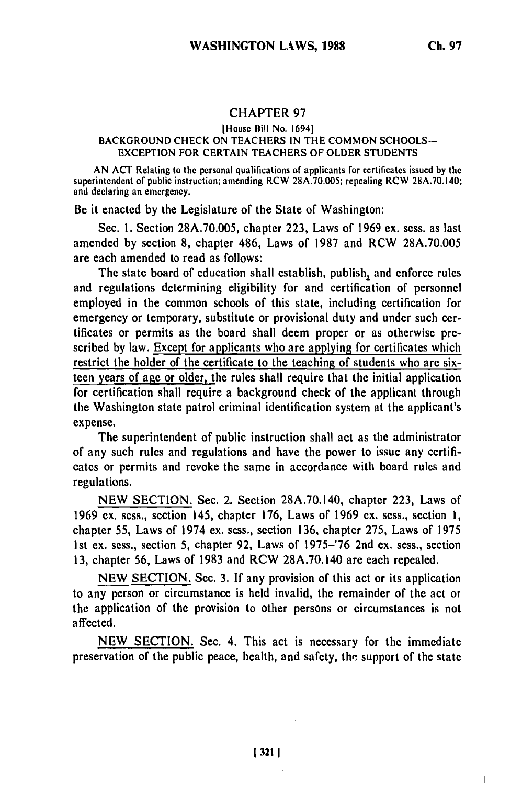## CHAPTER **97**

## [House Bill No. 16941

## **BACKGROUND CHECK ON TEACHERS IN** THE COMMON SCHOOLS-EXCEPTION FOR CERTAIN TEACHERS OF OLDER STUDENTS

AN ACT Relating to the personal qualifications of applicants for certificates issued by the superintendent of public instruction; amending RCW 28A.70.005; repealing RCW 28A.70.140; and declaring an emergency.

Be it enacted by the Legislature of the State of Washington:

Sec. 1. Section 28A.70.005, chapter 223, Laws of 1969 ex. sess. as last amended by section 8, chapter 486, Laws of 1987 and RCW 28A.70.005 are each amended to read as follows:

The state board of education shall establish, publish, and enforce rules and regulations determining eligibility for and certification of personnel employed in the common schools of this state, including certification for emergency or temporary, substitute or provisional duty and under such certificates or permits as the board shall deem proper or as otherwise prescribed by law. Except for applicants who are applying for certificates which restrict the holder of the certificate to the teaching of students who are sixteen years of age or older, the rules shall require that the initial application for certification shall require a background check of the applicant through the Washington state patrol criminal identification system at the applicant's expense.

The superintendent of public instruction shall act as the administrator of any such rules and regulations and have the power to issue any certificates or permits and revoke the same in accordance with board rules and regulations.

NEW SECTION. Sec. 2. Section 28A.70.140, chapter 223, Laws of 1969 ex. sess., section 145, chapter 176, Laws of 1969 ex. sess., section **1,** chapter 55, Laws of 1974 ex. sess., section 136, chapter 275, Laws of 1975 1st ex. sess., section 5, chapter 92, Laws of 1975-'76 2nd ex. sess., section 13, chapter 56, Laws of 1983 and RCW 28A.70.140 are each repealed.

NEW SECTION. Sec. 3. If any provision of this act or its application to any person or circumstance is held invalid, the remainder of the act or the application of the provision to other persons or circumstances is not affected.

NEW SECTION. Sec. 4. This act is necessary for the immediate preservation of the public peace, health, and safety, the support of the state